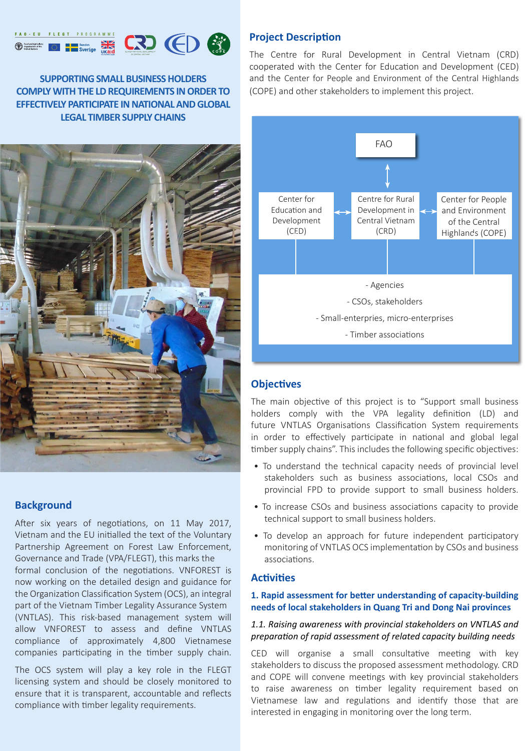#### FAO - EU FLEGT PROGRAMME **Exercise System**<br>
Sverige Takes Food and Agriculture<br>Organization of the<br>United Nations



**SUPPORTING SMALL BUSINESS HOLDERS COMPLY WITH THE LD REQUIREMENTS IN ORDER TO EFFECTIVELY PARTICIPATE IN NATIONAL AND GLOBAL LEGAL TIMBER SUPPLY CHAINS** 



# **Background**

After six years of negotiations, on 11 May 2017, Vietnam and the EU initialled the text of the Voluntary Partnership Agreement on Forest Law Enforcement, Governance and Trade (VPA/FLEGT), this marks the formal conclusion of the negotiations. VNFOREST is now working on the detailed design and guidance for the Organization Classification System (OCS), an integral part of the Vietnam Timber Legality Assurance System (VNTLAS). This risk-based management system will allow VNFOREST to assess and define VNTLAS compliance of approximately 4,800 Vietnamese companies participating in the timber supply chain.

The OCS system will play a key role in the FLEGT licensing system and should be closely monitored to ensure that it is transparent, accountable and reflects compliance with timber legality requirements.

# **Project Description**

The Centre for Rural Development in Central Vietnam (CRD) cooperated with the Center for Education and Development (CED) and the Center for People and Environment of the Central Highlands (COPE) and other stakeholders to implement this project.



# **Objectives**

The main objective of this project is to "Support small business holders comply with the VPA legality definition (LD) and future VNTLAS Organisations Classification System requirements in order to effectively participate in national and global legal timber supply chains". This includes the following specific objectives:

- To understand the technical capacity needs of provincial level stakeholders such as business associations, local CSOs and provincial FPD to provide support to small business holders.
- To increase CSOs and business associations capacity to provide technical support to small business holders.
- To develop an approach for future independent participatory monitoring of VNTLAS OCS implementation by CSOs and business associations.

### **Activities**

#### **1. Rapid assessment for better understanding of capacity-building needs of local stakeholders in Quang Tri and Dong Nai provinces**

#### *1.1. Raising awareness with provincial stakeholders on VNTLAS and preparation of rapid assessment of related capacity building needs*

CED will organise a small consultative meeting with key stakeholders to discuss the proposed assessment methodology. CRD and COPE will convene meetings with key provincial stakeholders to raise awareness on timber legality requirement based on Vietnamese law and regulations and identify those that are interested in engaging in monitoring over the long term.